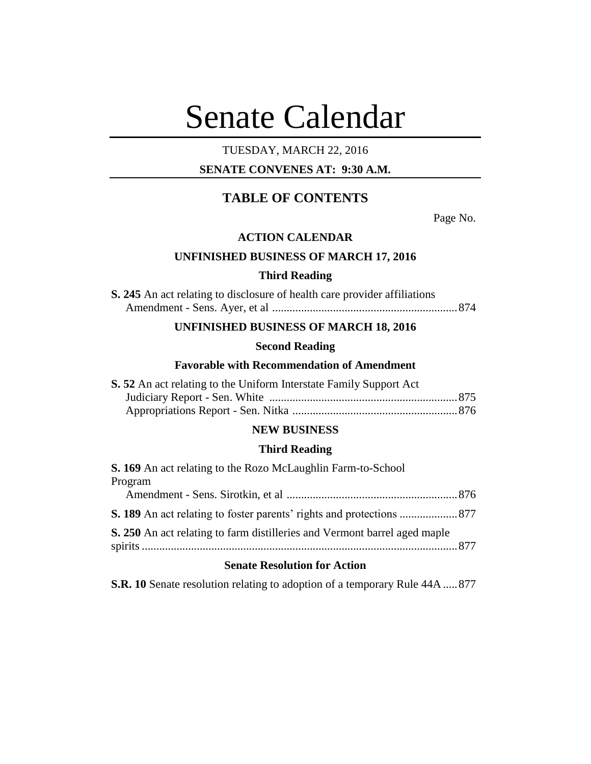# Senate Calendar

## TUESDAY, MARCH 22, 2016

## **SENATE CONVENES AT: 9:30 A.M.**

# **TABLE OF CONTENTS**

Page No.

#### **ACTION CALENDAR**

## **UNFINISHED BUSINESS OF MARCH 17, 2016**

#### **Third Reading**

| S. 245 An act relating to disclosure of health care provider affiliations |  |
|---------------------------------------------------------------------------|--|
|                                                                           |  |

## **UNFINISHED BUSINESS OF MARCH 18, 2016**

# **Second Reading**

## **Favorable with Recommendation of Amendment**

| S. 52 An act relating to the Uniform Interstate Family Support Act |  |
|--------------------------------------------------------------------|--|
|                                                                    |  |
|                                                                    |  |

## **NEW BUSINESS**

#### **Third Reading**

| S. 169 An act relating to the Rozo McLaughlin Farm-to-School              |  |
|---------------------------------------------------------------------------|--|
| Program                                                                   |  |
|                                                                           |  |
|                                                                           |  |
| S. 250 An act relating to farm distilleries and Vermont barrel aged maple |  |
|                                                                           |  |

#### **Senate Resolution for Action**

**S.R. 10** Senate resolution relating to adoption of a temporary Rule 44A .....877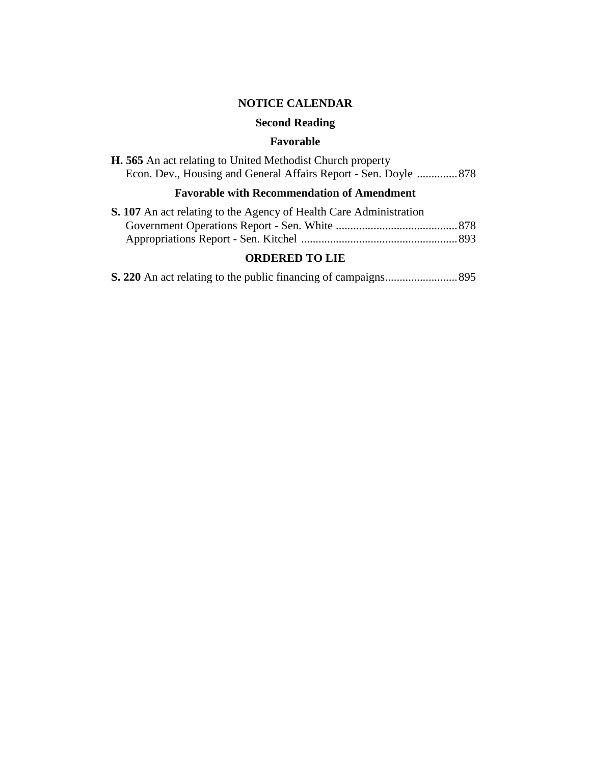# **NOTICE CALENDAR**

# **Second Reading**

## **Favorable**

| <b>H. 565</b> An act relating to United Methodist Church property |  |
|-------------------------------------------------------------------|--|
| Econ. Dev., Housing and General Affairs Report - Sen. Doyle  878  |  |

# **Favorable with Recommendation of Amendment**

| S. 107 An act relating to the Agency of Health Care Administration |  |
|--------------------------------------------------------------------|--|
|                                                                    |  |
|                                                                    |  |

## **ORDERED TO LIE**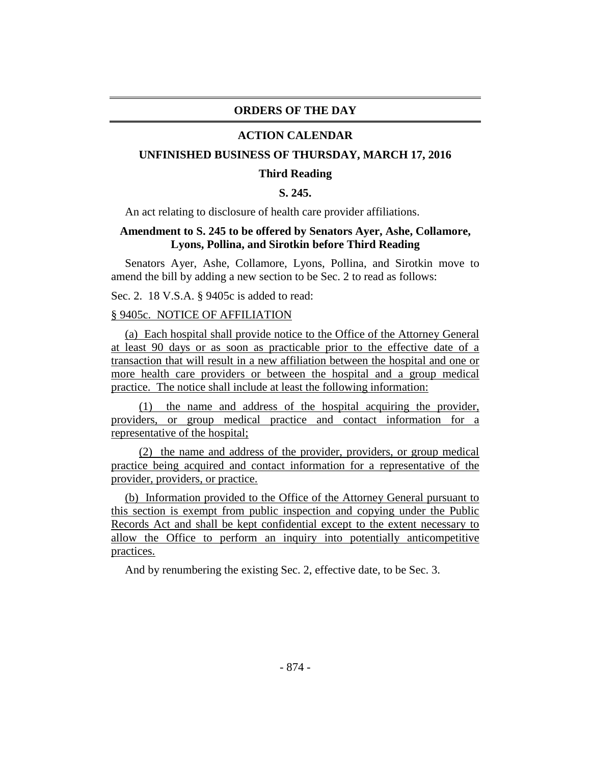## **ORDERS OF THE DAY**

#### **ACTION CALENDAR**

#### **UNFINISHED BUSINESS OF THURSDAY, MARCH 17, 2016**

#### **Third Reading**

## **S. 245.**

An act relating to disclosure of health care provider affiliations.

## **Amendment to S. 245 to be offered by Senators Ayer, Ashe, Collamore, Lyons, Pollina, and Sirotkin before Third Reading**

Senators Ayer, Ashe, Collamore, Lyons, Pollina, and Sirotkin move to amend the bill by adding a new section to be Sec. 2 to read as follows:

Sec. 2. 18 V.S.A. § 9405c is added to read:

## § 9405c. NOTICE OF AFFILIATION

(a) Each hospital shall provide notice to the Office of the Attorney General at least 90 days or as soon as practicable prior to the effective date of a transaction that will result in a new affiliation between the hospital and one or more health care providers or between the hospital and a group medical practice. The notice shall include at least the following information:

(1) the name and address of the hospital acquiring the provider, providers, or group medical practice and contact information for a representative of the hospital;

(2) the name and address of the provider, providers, or group medical practice being acquired and contact information for a representative of the provider, providers, or practice.

(b) Information provided to the Office of the Attorney General pursuant to this section is exempt from public inspection and copying under the Public Records Act and shall be kept confidential except to the extent necessary to allow the Office to perform an inquiry into potentially anticompetitive practices.

And by renumbering the existing Sec. 2, effective date, to be Sec. 3.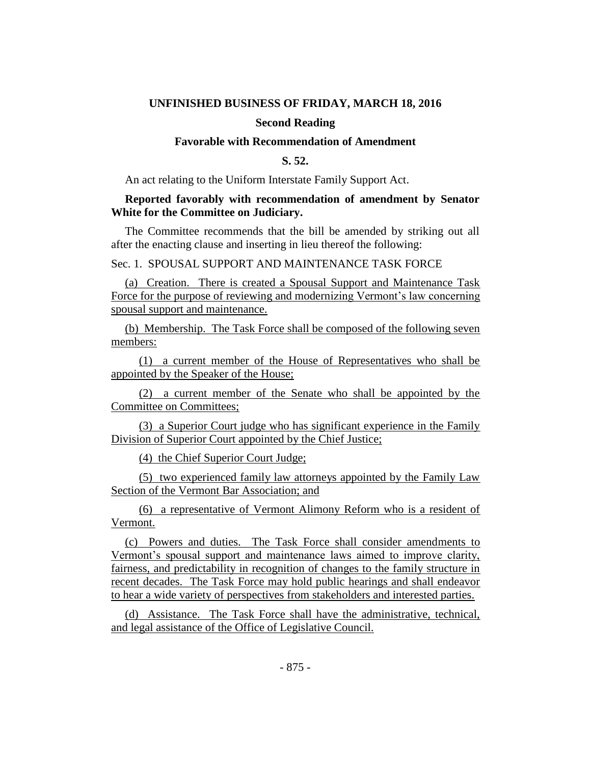#### **UNFINISHED BUSINESS OF FRIDAY, MARCH 18, 2016**

#### **Second Reading**

#### **Favorable with Recommendation of Amendment**

## **S. 52.**

An act relating to the Uniform Interstate Family Support Act.

## **Reported favorably with recommendation of amendment by Senator White for the Committee on Judiciary.**

The Committee recommends that the bill be amended by striking out all after the enacting clause and inserting in lieu thereof the following:

Sec. 1. SPOUSAL SUPPORT AND MAINTENANCE TASK FORCE

(a) Creation. There is created a Spousal Support and Maintenance Task Force for the purpose of reviewing and modernizing Vermont's law concerning spousal support and maintenance.

(b) Membership. The Task Force shall be composed of the following seven members:

(1) a current member of the House of Representatives who shall be appointed by the Speaker of the House;

(2) a current member of the Senate who shall be appointed by the Committee on Committees;

(3) a Superior Court judge who has significant experience in the Family Division of Superior Court appointed by the Chief Justice;

(4) the Chief Superior Court Judge;

(5) two experienced family law attorneys appointed by the Family Law Section of the Vermont Bar Association; and

(6) a representative of Vermont Alimony Reform who is a resident of Vermont.

(c) Powers and duties. The Task Force shall consider amendments to Vermont's spousal support and maintenance laws aimed to improve clarity, fairness, and predictability in recognition of changes to the family structure in recent decades. The Task Force may hold public hearings and shall endeavor to hear a wide variety of perspectives from stakeholders and interested parties.

(d) Assistance. The Task Force shall have the administrative, technical, and legal assistance of the Office of Legislative Council.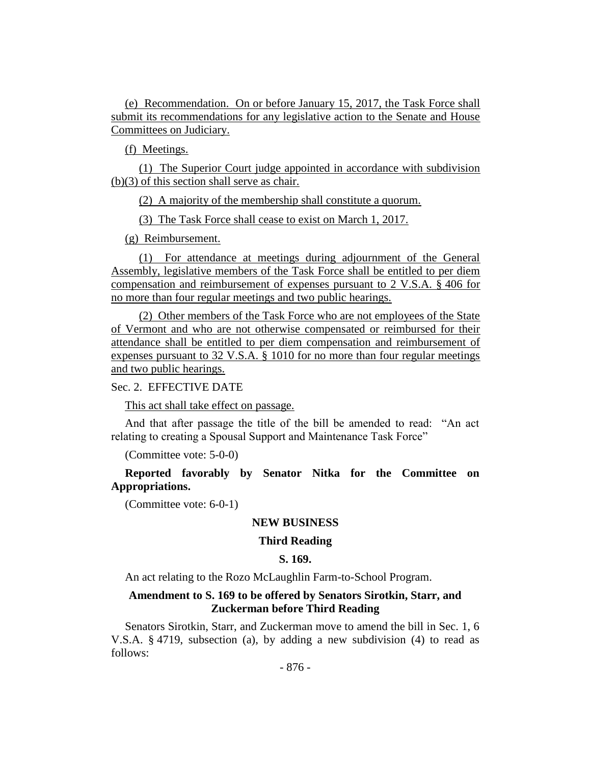(e) Recommendation. On or before January 15, 2017, the Task Force shall submit its recommendations for any legislative action to the Senate and House Committees on Judiciary.

(f) Meetings.

(1) The Superior Court judge appointed in accordance with subdivision (b)(3) of this section shall serve as chair.

(2) A majority of the membership shall constitute a quorum.

(3) The Task Force shall cease to exist on March 1, 2017.

(g) Reimbursement.

(1) For attendance at meetings during adjournment of the General Assembly, legislative members of the Task Force shall be entitled to per diem compensation and reimbursement of expenses pursuant to 2 V.S.A. § 406 for no more than four regular meetings and two public hearings.

(2) Other members of the Task Force who are not employees of the State of Vermont and who are not otherwise compensated or reimbursed for their attendance shall be entitled to per diem compensation and reimbursement of expenses pursuant to 32 V.S.A. § 1010 for no more than four regular meetings and two public hearings.

#### Sec. 2. EFFECTIVE DATE

This act shall take effect on passage.

And that after passage the title of the bill be amended to read: "An act relating to creating a Spousal Support and Maintenance Task Force"

(Committee vote: 5-0-0)

**Reported favorably by Senator Nitka for the Committee on Appropriations.**

(Committee vote: 6-0-1)

## **NEW BUSINESS**

## **Third Reading**

## **S. 169.**

An act relating to the Rozo McLaughlin Farm-to-School Program.

## **Amendment to S. 169 to be offered by Senators Sirotkin, Starr, and Zuckerman before Third Reading**

Senators Sirotkin, Starr, and Zuckerman move to amend the bill in Sec. 1, 6 V.S.A. § 4719, subsection (a), by adding a new subdivision (4) to read as follows: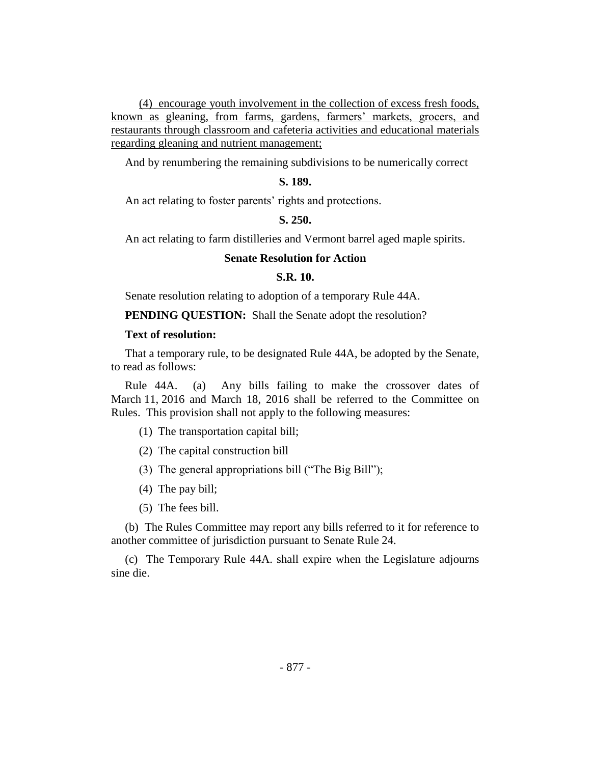(4) encourage youth involvement in the collection of excess fresh foods, known as gleaning, from farms, gardens, farmers' markets, grocers, and restaurants through classroom and cafeteria activities and educational materials regarding gleaning and nutrient management;

And by renumbering the remaining subdivisions to be numerically correct

## **S. 189.**

An act relating to foster parents' rights and protections.

#### **S. 250.**

An act relating to farm distilleries and Vermont barrel aged maple spirits.

#### **Senate Resolution for Action**

## **S.R. 10.**

Senate resolution relating to adoption of a temporary Rule 44A.

**PENDING QUESTION:** Shall the Senate adopt the resolution?

#### **Text of resolution:**

That a temporary rule, to be designated Rule 44A, be adopted by the Senate, to read as follows:

Rule 44A. (a) Any bills failing to make the crossover dates of March 11, 2016 and March 18, 2016 shall be referred to the Committee on Rules. This provision shall not apply to the following measures:

- (1) The transportation capital bill;
- (2) The capital construction bill
- (3) The general appropriations bill ("The Big Bill");
- (4) The pay bill;
- (5) The fees bill.

(b) The Rules Committee may report any bills referred to it for reference to another committee of jurisdiction pursuant to Senate Rule 24.

(c) The Temporary Rule 44A. shall expire when the Legislature adjourns sine die.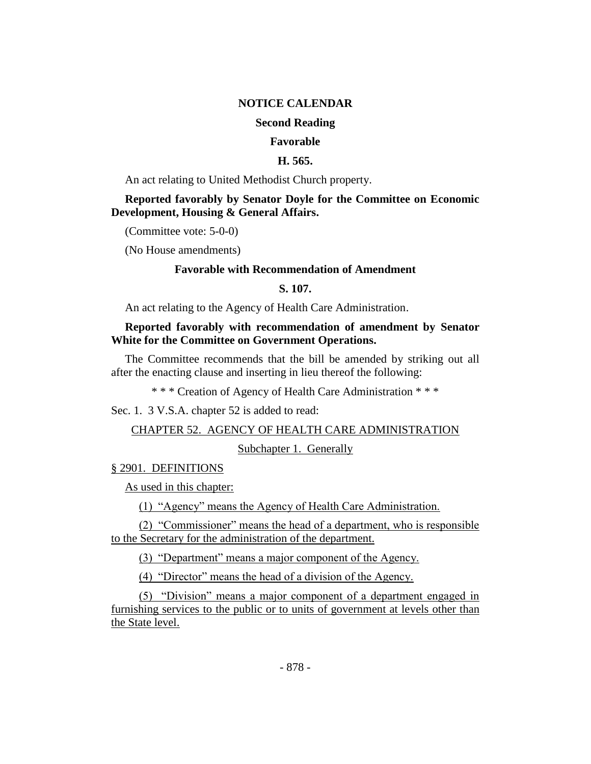## **NOTICE CALENDAR**

## **Second Reading**

#### **Favorable**

## **H. 565.**

An act relating to United Methodist Church property.

## **Reported favorably by Senator Doyle for the Committee on Economic Development, Housing & General Affairs.**

(Committee vote: 5-0-0)

(No House amendments)

## **Favorable with Recommendation of Amendment**

## **S. 107.**

An act relating to the Agency of Health Care Administration.

## **Reported favorably with recommendation of amendment by Senator White for the Committee on Government Operations.**

The Committee recommends that the bill be amended by striking out all after the enacting clause and inserting in lieu thereof the following:

\* \* \* Creation of Agency of Health Care Administration \* \* \*

Sec. 1. 3 V.S.A. chapter 52 is added to read:

## CHAPTER 52. AGENCY OF HEALTH CARE ADMINISTRATION

Subchapter 1. Generally

## § 2901. DEFINITIONS

As used in this chapter:

(1) "Agency" means the Agency of Health Care Administration.

(2) "Commissioner" means the head of a department, who is responsible to the Secretary for the administration of the department.

(3) "Department" means a major component of the Agency.

(4) "Director" means the head of a division of the Agency.

(5) "Division" means a major component of a department engaged in furnishing services to the public or to units of government at levels other than the State level.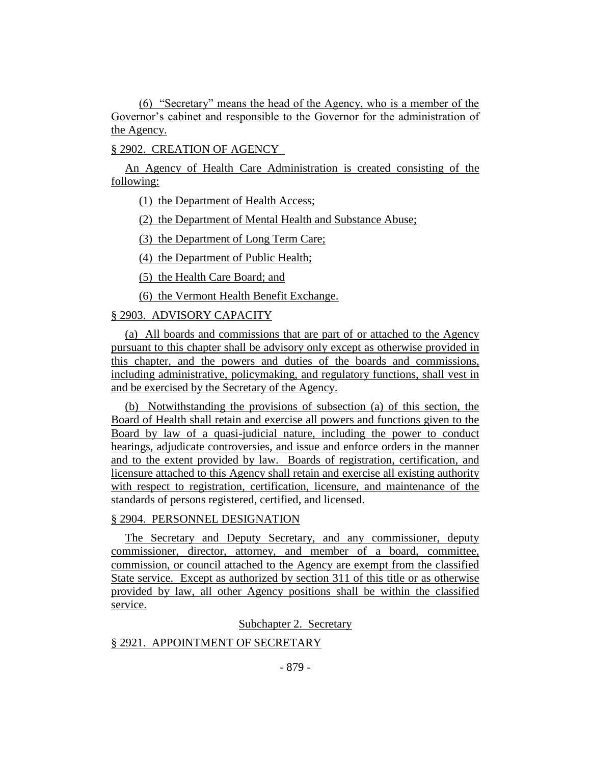(6) "Secretary" means the head of the Agency, who is a member of the Governor's cabinet and responsible to the Governor for the administration of the Agency.

## § 2902. CREATION OF AGENCY

An Agency of Health Care Administration is created consisting of the following:

(1) the Department of Health Access;

(2) the Department of Mental Health and Substance Abuse;

(3) the Department of Long Term Care;

(4) the Department of Public Health;

(5) the Health Care Board; and

(6) the Vermont Health Benefit Exchange.

## § 2903. ADVISORY CAPACITY

(a) All boards and commissions that are part of or attached to the Agency pursuant to this chapter shall be advisory only except as otherwise provided in this chapter, and the powers and duties of the boards and commissions, including administrative, policymaking, and regulatory functions, shall vest in and be exercised by the Secretary of the Agency.

(b) Notwithstanding the provisions of subsection (a) of this section, the Board of Health shall retain and exercise all powers and functions given to the Board by law of a quasi-judicial nature, including the power to conduct hearings, adjudicate controversies, and issue and enforce orders in the manner and to the extent provided by law. Boards of registration, certification, and licensure attached to this Agency shall retain and exercise all existing authority with respect to registration, certification, licensure, and maintenance of the standards of persons registered, certified, and licensed.

#### § 2904. PERSONNEL DESIGNATION

The Secretary and Deputy Secretary, and any commissioner, deputy commissioner, director, attorney, and member of a board, committee, commission, or council attached to the Agency are exempt from the classified State service. Except as authorized by section 311 of this title or as otherwise provided by law, all other Agency positions shall be within the classified service.

## Subchapter 2. Secretary

## § 2921. APPOINTMENT OF SECRETARY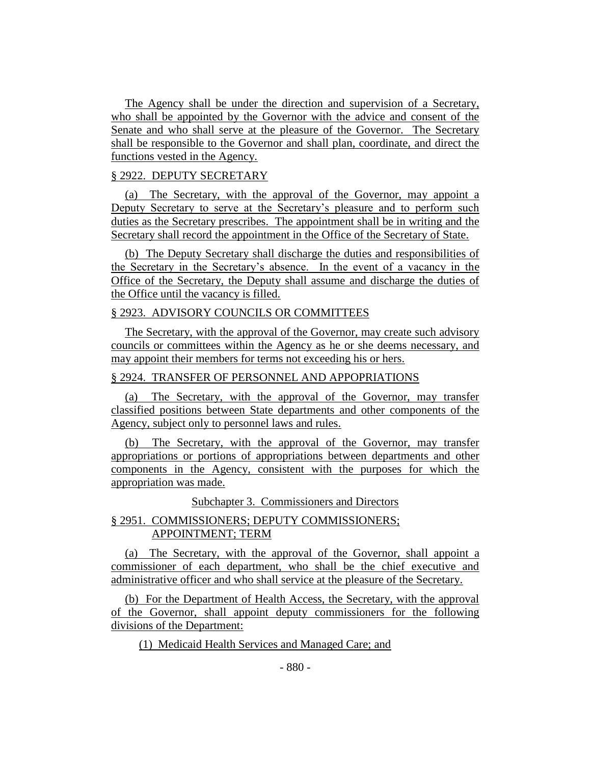The Agency shall be under the direction and supervision of a Secretary, who shall be appointed by the Governor with the advice and consent of the Senate and who shall serve at the pleasure of the Governor. The Secretary shall be responsible to the Governor and shall plan, coordinate, and direct the functions vested in the Agency.

## § 2922. DEPUTY SECRETARY

(a) The Secretary, with the approval of the Governor, may appoint a Deputy Secretary to serve at the Secretary's pleasure and to perform such duties as the Secretary prescribes. The appointment shall be in writing and the Secretary shall record the appointment in the Office of the Secretary of State.

(b) The Deputy Secretary shall discharge the duties and responsibilities of the Secretary in the Secretary's absence. In the event of a vacancy in the Office of the Secretary, the Deputy shall assume and discharge the duties of the Office until the vacancy is filled.

## § 2923. ADVISORY COUNCILS OR COMMITTEES

The Secretary, with the approval of the Governor, may create such advisory councils or committees within the Agency as he or she deems necessary, and may appoint their members for terms not exceeding his or hers.

## § 2924. TRANSFER OF PERSONNEL AND APPOPRIATIONS

(a) The Secretary, with the approval of the Governor, may transfer classified positions between State departments and other components of the Agency, subject only to personnel laws and rules.

(b) The Secretary, with the approval of the Governor, may transfer appropriations or portions of appropriations between departments and other components in the Agency, consistent with the purposes for which the appropriation was made.

Subchapter 3. Commissioners and Directors

## § 2951. COMMISSIONERS; DEPUTY COMMISSIONERS; APPOINTMENT; TERM

(a) The Secretary, with the approval of the Governor, shall appoint a commissioner of each department, who shall be the chief executive and administrative officer and who shall service at the pleasure of the Secretary.

(b) For the Department of Health Access, the Secretary, with the approval of the Governor, shall appoint deputy commissioners for the following divisions of the Department:

(1) Medicaid Health Services and Managed Care; and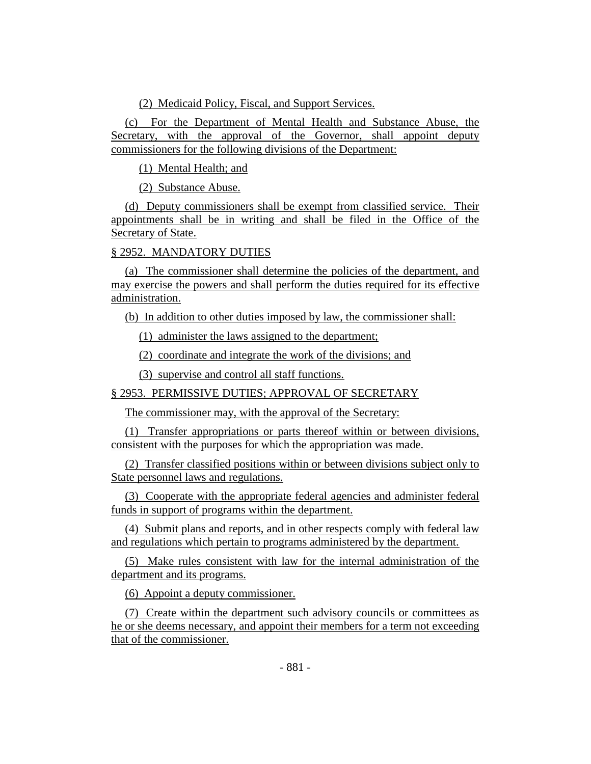(2) Medicaid Policy, Fiscal, and Support Services.

(c) For the Department of Mental Health and Substance Abuse, the Secretary, with the approval of the Governor, shall appoint deputy commissioners for the following divisions of the Department:

(1) Mental Health; and

(2) Substance Abuse.

(d) Deputy commissioners shall be exempt from classified service. Their appointments shall be in writing and shall be filed in the Office of the Secretary of State.

## § 2952. MANDATORY DUTIES

(a) The commissioner shall determine the policies of the department, and may exercise the powers and shall perform the duties required for its effective administration.

(b) In addition to other duties imposed by law, the commissioner shall:

(1) administer the laws assigned to the department;

(2) coordinate and integrate the work of the divisions; and

(3) supervise and control all staff functions.

## § 2953. PERMISSIVE DUTIES; APPROVAL OF SECRETARY

The commissioner may, with the approval of the Secretary:

(1) Transfer appropriations or parts thereof within or between divisions, consistent with the purposes for which the appropriation was made.

(2) Transfer classified positions within or between divisions subject only to State personnel laws and regulations.

(3) Cooperate with the appropriate federal agencies and administer federal funds in support of programs within the department.

(4) Submit plans and reports, and in other respects comply with federal law and regulations which pertain to programs administered by the department.

(5) Make rules consistent with law for the internal administration of the department and its programs.

(6) Appoint a deputy commissioner.

(7) Create within the department such advisory councils or committees as he or she deems necessary, and appoint their members for a term not exceeding that of the commissioner.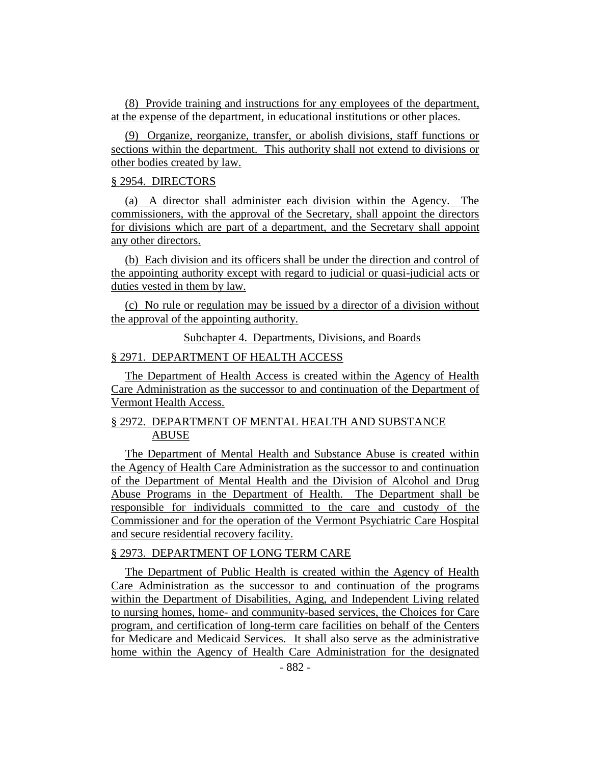(8) Provide training and instructions for any employees of the department, at the expense of the department, in educational institutions or other places.

(9) Organize, reorganize, transfer, or abolish divisions, staff functions or sections within the department. This authority shall not extend to divisions or other bodies created by law.

#### § 2954. DIRECTORS

(a) A director shall administer each division within the Agency. The commissioners, with the approval of the Secretary, shall appoint the directors for divisions which are part of a department, and the Secretary shall appoint any other directors.

(b) Each division and its officers shall be under the direction and control of the appointing authority except with regard to judicial or quasi-judicial acts or duties vested in them by law.

(c) No rule or regulation may be issued by a director of a division without the approval of the appointing authority.

Subchapter 4. Departments, Divisions, and Boards

#### § 2971. DEPARTMENT OF HEALTH ACCESS

The Department of Health Access is created within the Agency of Health Care Administration as the successor to and continuation of the Department of Vermont Health Access.

## § 2972. DEPARTMENT OF MENTAL HEALTH AND SUBSTANCE ABUSE

The Department of Mental Health and Substance Abuse is created within the Agency of Health Care Administration as the successor to and continuation of the Department of Mental Health and the Division of Alcohol and Drug Abuse Programs in the Department of Health. The Department shall be responsible for individuals committed to the care and custody of the Commissioner and for the operation of the Vermont Psychiatric Care Hospital and secure residential recovery facility.

## § 2973. DEPARTMENT OF LONG TERM CARE

The Department of Public Health is created within the Agency of Health Care Administration as the successor to and continuation of the programs within the Department of Disabilities, Aging, and Independent Living related to nursing homes, home- and community-based services, the Choices for Care program, and certification of long-term care facilities on behalf of the Centers for Medicare and Medicaid Services. It shall also serve as the administrative home within the Agency of Health Care Administration for the designated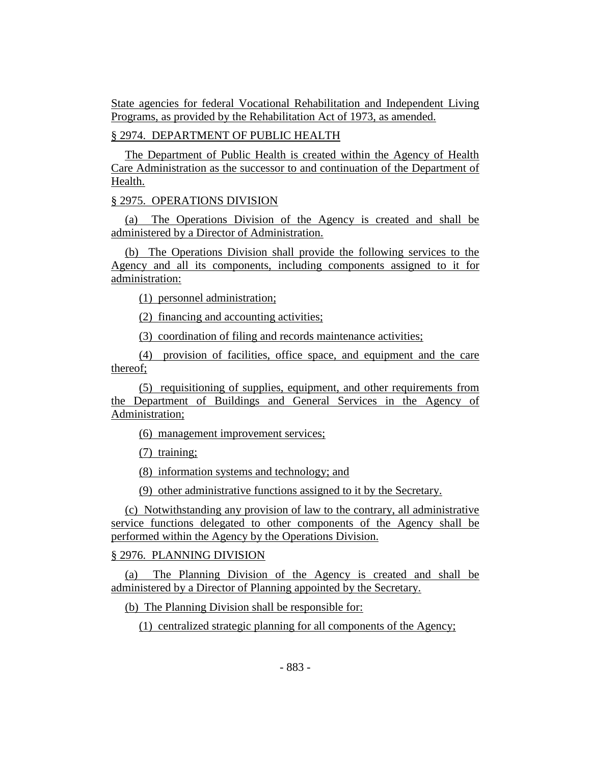State agencies for federal Vocational Rehabilitation and Independent Living Programs, as provided by the Rehabilitation Act of 1973, as amended.

## § 2974. DEPARTMENT OF PUBLIC HEALTH

The Department of Public Health is created within the Agency of Health Care Administration as the successor to and continuation of the Department of Health.

## § 2975. OPERATIONS DIVISION

(a) The Operations Division of the Agency is created and shall be administered by a Director of Administration.

(b) The Operations Division shall provide the following services to the Agency and all its components, including components assigned to it for administration:

(1) personnel administration;

(2) financing and accounting activities;

(3) coordination of filing and records maintenance activities;

(4) provision of facilities, office space, and equipment and the care thereof;

(5) requisitioning of supplies, equipment, and other requirements from the Department of Buildings and General Services in the Agency of Administration;

(6) management improvement services;

(7) training;

(8) information systems and technology; and

(9) other administrative functions assigned to it by the Secretary.

(c) Notwithstanding any provision of law to the contrary, all administrative service functions delegated to other components of the Agency shall be performed within the Agency by the Operations Division.

## § 2976. PLANNING DIVISION

(a) The Planning Division of the Agency is created and shall be administered by a Director of Planning appointed by the Secretary.

(b) The Planning Division shall be responsible for:

(1) centralized strategic planning for all components of the Agency;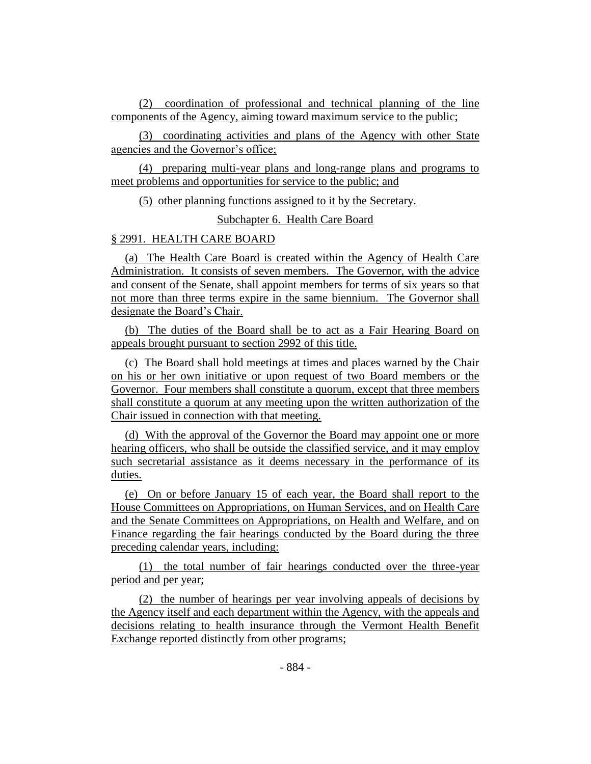(2) coordination of professional and technical planning of the line components of the Agency, aiming toward maximum service to the public;

(3) coordinating activities and plans of the Agency with other State agencies and the Governor's office;

(4) preparing multi-year plans and long-range plans and programs to meet problems and opportunities for service to the public; and

(5) other planning functions assigned to it by the Secretary.

Subchapter 6. Health Care Board

## § 2991. HEALTH CARE BOARD

(a) The Health Care Board is created within the Agency of Health Care Administration. It consists of seven members. The Governor, with the advice and consent of the Senate, shall appoint members for terms of six years so that not more than three terms expire in the same biennium. The Governor shall designate the Board's Chair.

(b) The duties of the Board shall be to act as a Fair Hearing Board on appeals brought pursuant to section 2992 of this title.

(c) The Board shall hold meetings at times and places warned by the Chair on his or her own initiative or upon request of two Board members or the Governor. Four members shall constitute a quorum, except that three members shall constitute a quorum at any meeting upon the written authorization of the Chair issued in connection with that meeting.

(d) With the approval of the Governor the Board may appoint one or more hearing officers, who shall be outside the classified service, and it may employ such secretarial assistance as it deems necessary in the performance of its duties.

(e) On or before January 15 of each year, the Board shall report to the House Committees on Appropriations, on Human Services, and on Health Care and the Senate Committees on Appropriations, on Health and Welfare, and on Finance regarding the fair hearings conducted by the Board during the three preceding calendar years, including:

(1) the total number of fair hearings conducted over the three-year period and per year;

(2) the number of hearings per year involving appeals of decisions by the Agency itself and each department within the Agency, with the appeals and decisions relating to health insurance through the Vermont Health Benefit Exchange reported distinctly from other programs;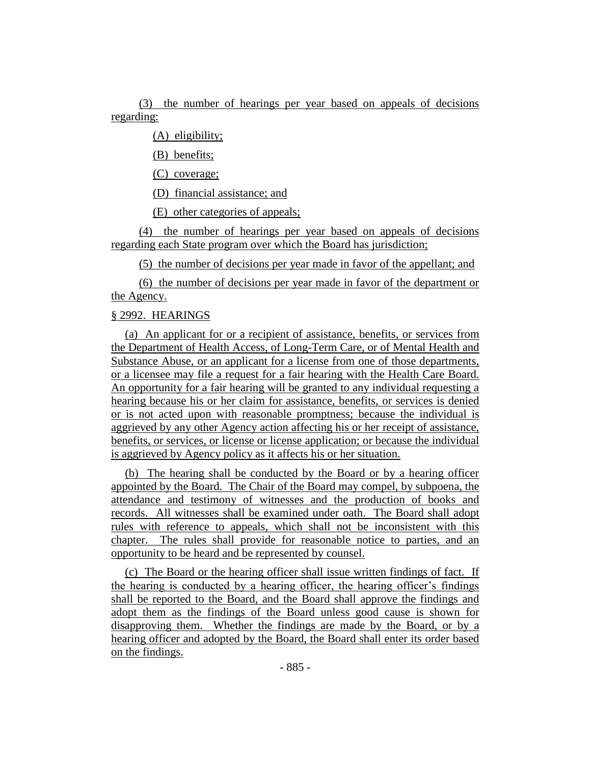(3) the number of hearings per year based on appeals of decisions regarding:

(A) eligibility;

(B) benefits;

(C) coverage;

(D) financial assistance; and

(E) other categories of appeals;

(4) the number of hearings per year based on appeals of decisions regarding each State program over which the Board has jurisdiction;

(5) the number of decisions per year made in favor of the appellant; and

(6) the number of decisions per year made in favor of the department or the Agency.

## § 2992. HEARINGS

(a) An applicant for or a recipient of assistance, benefits, or services from the Department of Health Access, of Long-Term Care, or of Mental Health and Substance Abuse, or an applicant for a license from one of those departments, or a licensee may file a request for a fair hearing with the Health Care Board. An opportunity for a fair hearing will be granted to any individual requesting a hearing because his or her claim for assistance, benefits, or services is denied or is not acted upon with reasonable promptness; because the individual is aggrieved by any other Agency action affecting his or her receipt of assistance, benefits, or services, or license or license application; or because the individual is aggrieved by Agency policy as it affects his or her situation.

(b) The hearing shall be conducted by the Board or by a hearing officer appointed by the Board. The Chair of the Board may compel, by subpoena, the attendance and testimony of witnesses and the production of books and records. All witnesses shall be examined under oath. The Board shall adopt rules with reference to appeals, which shall not be inconsistent with this chapter. The rules shall provide for reasonable notice to parties, and an opportunity to be heard and be represented by counsel.

(c) The Board or the hearing officer shall issue written findings of fact. If the hearing is conducted by a hearing officer, the hearing officer's findings shall be reported to the Board, and the Board shall approve the findings and adopt them as the findings of the Board unless good cause is shown for disapproving them. Whether the findings are made by the Board, or by a hearing officer and adopted by the Board, the Board shall enter its order based on the findings.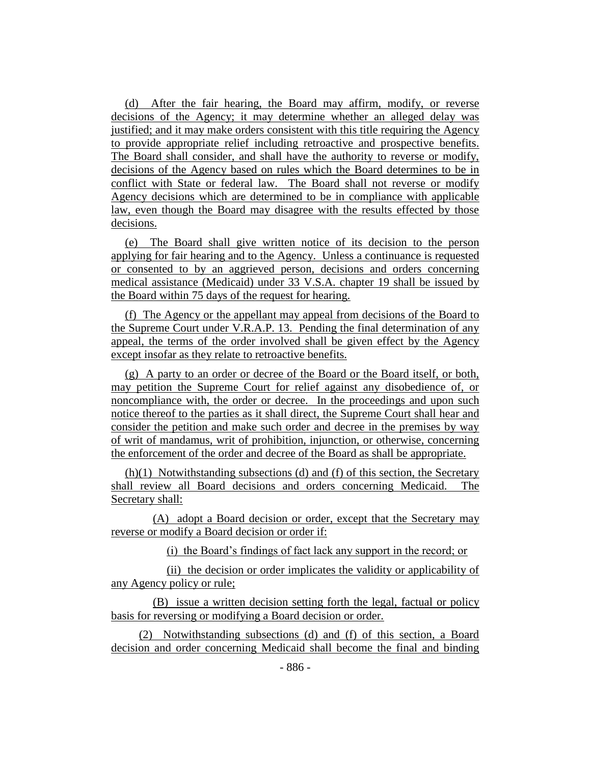(d) After the fair hearing, the Board may affirm, modify, or reverse decisions of the Agency; it may determine whether an alleged delay was justified; and it may make orders consistent with this title requiring the Agency to provide appropriate relief including retroactive and prospective benefits. The Board shall consider, and shall have the authority to reverse or modify, decisions of the Agency based on rules which the Board determines to be in conflict with State or federal law. The Board shall not reverse or modify Agency decisions which are determined to be in compliance with applicable law, even though the Board may disagree with the results effected by those decisions.

(e) The Board shall give written notice of its decision to the person applying for fair hearing and to the Agency. Unless a continuance is requested or consented to by an aggrieved person, decisions and orders concerning medical assistance (Medicaid) under 33 V.S.A. chapter 19 shall be issued by the Board within 75 days of the request for hearing.

(f) The Agency or the appellant may appeal from decisions of the Board to the Supreme Court under V.R.A.P. 13. Pending the final determination of any appeal, the terms of the order involved shall be given effect by the Agency except insofar as they relate to retroactive benefits.

(g) A party to an order or decree of the Board or the Board itself, or both, may petition the Supreme Court for relief against any disobedience of, or noncompliance with, the order or decree. In the proceedings and upon such notice thereof to the parties as it shall direct, the Supreme Court shall hear and consider the petition and make such order and decree in the premises by way of writ of mandamus, writ of prohibition, injunction, or otherwise, concerning the enforcement of the order and decree of the Board as shall be appropriate.

(h)(1) Notwithstanding subsections (d) and (f) of this section, the Secretary shall review all Board decisions and orders concerning Medicaid. The Secretary shall:

(A) adopt a Board decision or order, except that the Secretary may reverse or modify a Board decision or order if:

(i) the Board's findings of fact lack any support in the record; or

(ii) the decision or order implicates the validity or applicability of any Agency policy or rule;

(B) issue a written decision setting forth the legal, factual or policy basis for reversing or modifying a Board decision or order.

(2) Notwithstanding subsections (d) and (f) of this section, a Board decision and order concerning Medicaid shall become the final and binding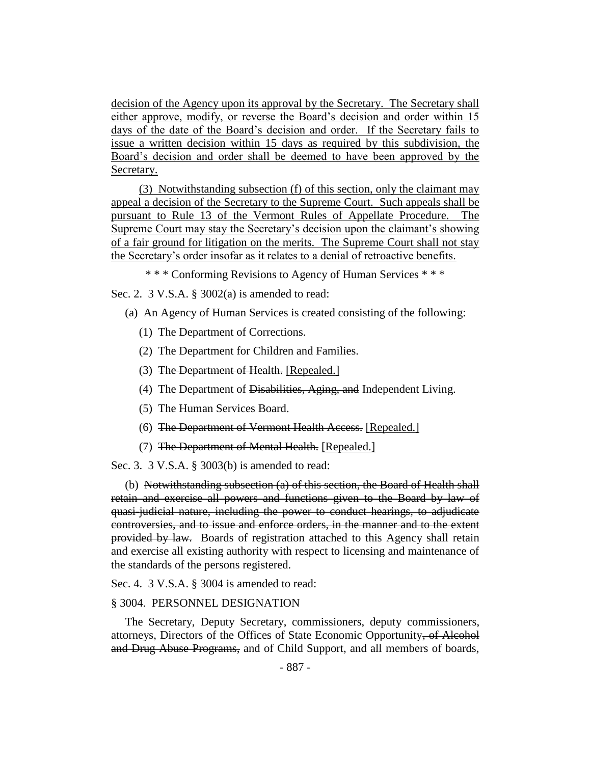decision of the Agency upon its approval by the Secretary. The Secretary shall either approve, modify, or reverse the Board's decision and order within 15 days of the date of the Board's decision and order. If the Secretary fails to issue a written decision within 15 days as required by this subdivision, the Board's decision and order shall be deemed to have been approved by the Secretary.

(3) Notwithstanding subsection (f) of this section, only the claimant may appeal a decision of the Secretary to the Supreme Court. Such appeals shall be pursuant to Rule 13 of the Vermont Rules of Appellate Procedure. The Supreme Court may stay the Secretary's decision upon the claimant's showing of a fair ground for litigation on the merits. The Supreme Court shall not stay the Secretary's order insofar as it relates to a denial of retroactive benefits.

\* \* \* Conforming Revisions to Agency of Human Services \* \* \*

Sec. 2. 3 V.S.A. § 3002(a) is amended to read:

- (a) An Agency of Human Services is created consisting of the following:
	- (1) The Department of Corrections.
	- (2) The Department for Children and Families.
	- (3) The Department of Health. [Repealed.]
	- (4) The Department of Disabilities, Aging, and Independent Living.
	- (5) The Human Services Board.
	- (6) The Department of Vermont Health Access. [Repealed.]
	- (7) The Department of Mental Health. [Repealed.]

Sec. 3. 3 V.S.A. § 3003(b) is amended to read:

(b) Notwithstanding subsection (a) of this section, the Board of Health shall retain and exercise all powers and functions given to the Board by law of quasi-judicial nature, including the power to conduct hearings, to adjudicate controversies, and to issue and enforce orders, in the manner and to the extent provided by law. Boards of registration attached to this Agency shall retain and exercise all existing authority with respect to licensing and maintenance of the standards of the persons registered.

Sec. 4. 3 V.S.A. § 3004 is amended to read:

#### § 3004. PERSONNEL DESIGNATION

The Secretary, Deputy Secretary, commissioners, deputy commissioners, attorneys, Directors of the Offices of State Economic Opportunity, of Alcohol and Drug Abuse Programs, and of Child Support, and all members of boards,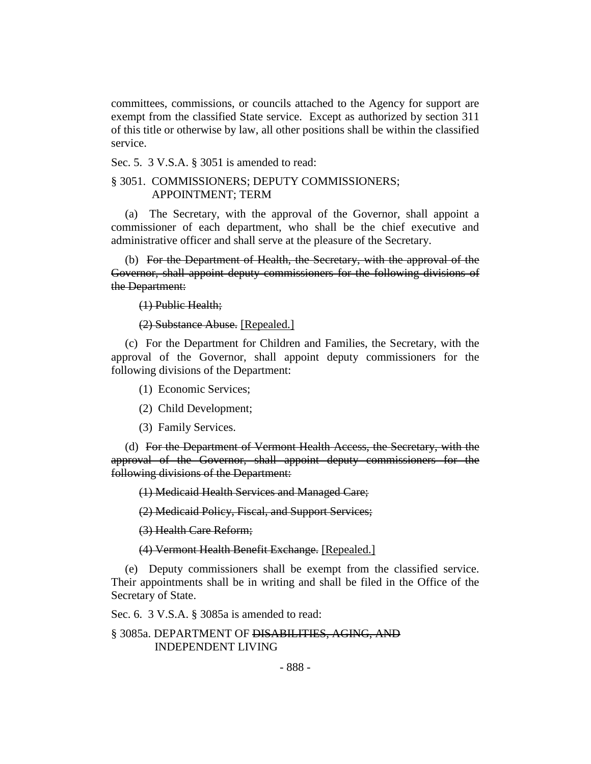committees, commissions, or councils attached to the Agency for support are exempt from the classified State service. Except as authorized by section 311 of this title or otherwise by law, all other positions shall be within the classified service.

Sec. 5. 3 V.S.A. § 3051 is amended to read:

## § 3051. COMMISSIONERS; DEPUTY COMMISSIONERS; APPOINTMENT; TERM

(a) The Secretary, with the approval of the Governor, shall appoint a commissioner of each department, who shall be the chief executive and administrative officer and shall serve at the pleasure of the Secretary.

(b) For the Department of Health, the Secretary, with the approval of the Governor, shall appoint deputy commissioners for the following divisions of the Department:

(1) Public Health;

(2) Substance Abuse. [Repealed.]

(c) For the Department for Children and Families, the Secretary, with the approval of the Governor, shall appoint deputy commissioners for the following divisions of the Department:

(1) Economic Services;

(2) Child Development;

(3) Family Services.

(d) For the Department of Vermont Health Access, the Secretary, with the approval of the Governor, shall appoint deputy commissioners for the following divisions of the Department:

(1) Medicaid Health Services and Managed Care;

(2) Medicaid Policy, Fiscal, and Support Services;

(3) Health Care Reform;

(4) Vermont Health Benefit Exchange. [Repealed.]

(e) Deputy commissioners shall be exempt from the classified service. Their appointments shall be in writing and shall be filed in the Office of the Secretary of State.

Sec. 6. 3 V.S.A. § 3085a is amended to read:

#### § 3085a. DEPARTMENT OF DISABILITIES, AGING, AND INDEPENDENT LIVING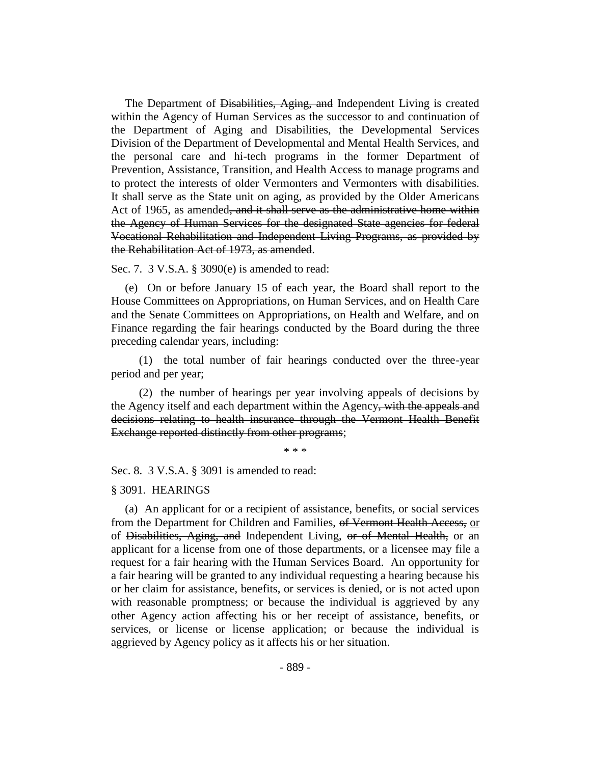The Department of Disabilities, Aging, and Independent Living is created within the Agency of Human Services as the successor to and continuation of the Department of Aging and Disabilities, the Developmental Services Division of the Department of Developmental and Mental Health Services, and the personal care and hi-tech programs in the former Department of Prevention, Assistance, Transition, and Health Access to manage programs and to protect the interests of older Vermonters and Vermonters with disabilities. It shall serve as the State unit on aging, as provided by the Older Americans Act of 1965, as amended, and it shall serve as the administrative home within the Agency of Human Services for the designated State agencies for federal Vocational Rehabilitation and Independent Living Programs, as provided by the Rehabilitation Act of 1973, as amended.

Sec. 7. 3 V.S.A. § 3090(e) is amended to read:

(e) On or before January 15 of each year, the Board shall report to the House Committees on Appropriations, on Human Services, and on Health Care and the Senate Committees on Appropriations, on Health and Welfare, and on Finance regarding the fair hearings conducted by the Board during the three preceding calendar years, including:

(1) the total number of fair hearings conducted over the three-year period and per year;

(2) the number of hearings per year involving appeals of decisions by the Agency itself and each department within the Agency, with the appeals and decisions relating to health insurance through the Vermont Health Benefit Exchange reported distinctly from other programs;

\* \* \*

Sec. 8. 3 V.S.A. § 3091 is amended to read:

#### § 3091. HEARINGS

(a) An applicant for or a recipient of assistance, benefits, or social services from the Department for Children and Families, of Vermont Health Access, or of Disabilities, Aging, and Independent Living, or of Mental Health, or an applicant for a license from one of those departments, or a licensee may file a request for a fair hearing with the Human Services Board. An opportunity for a fair hearing will be granted to any individual requesting a hearing because his or her claim for assistance, benefits, or services is denied, or is not acted upon with reasonable promptness; or because the individual is aggrieved by any other Agency action affecting his or her receipt of assistance, benefits, or services, or license or license application; or because the individual is aggrieved by Agency policy as it affects his or her situation.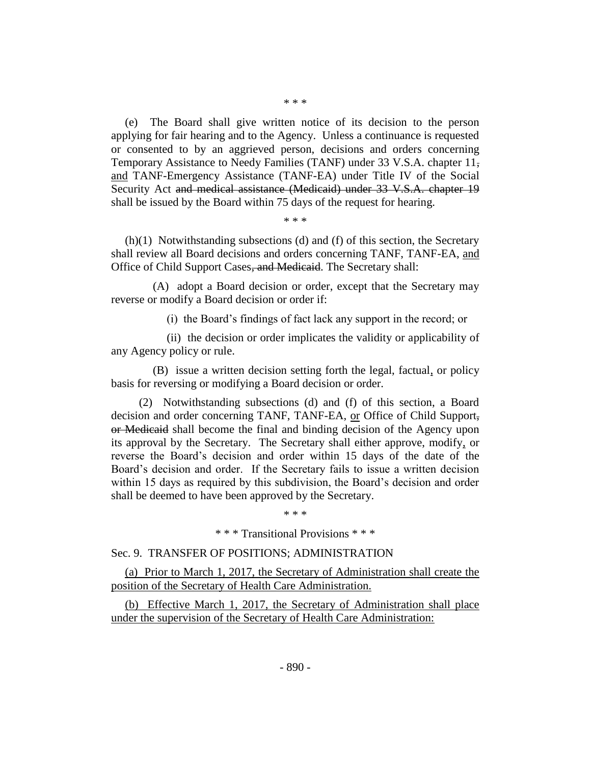(e) The Board shall give written notice of its decision to the person applying for fair hearing and to the Agency. Unless a continuance is requested or consented to by an aggrieved person, decisions and orders concerning Temporary Assistance to Needy Families (TANF) under 33 V.S.A. chapter 11, and TANF-Emergency Assistance (TANF-EA) under Title IV of the Social Security Act and medical assistance (Medicaid) under 33 V.S.A. chapter 19 shall be issued by the Board within 75 days of the request for hearing.

\* \* \*

(h)(1) Notwithstanding subsections (d) and (f) of this section, the Secretary shall review all Board decisions and orders concerning TANF, TANF-EA, and Office of Child Support Cases, and Medicaid. The Secretary shall:

(A) adopt a Board decision or order, except that the Secretary may reverse or modify a Board decision or order if:

(i) the Board's findings of fact lack any support in the record; or

(ii) the decision or order implicates the validity or applicability of any Agency policy or rule.

(B) issue a written decision setting forth the legal, factual, or policy basis for reversing or modifying a Board decision or order.

(2) Notwithstanding subsections (d) and (f) of this section, a Board decision and order concerning TANF, TANF-EA, or Office of Child Support, or Medicaid shall become the final and binding decision of the Agency upon its approval by the Secretary. The Secretary shall either approve, modify, or reverse the Board's decision and order within 15 days of the date of the Board's decision and order. If the Secretary fails to issue a written decision within 15 days as required by this subdivision, the Board's decision and order shall be deemed to have been approved by the Secretary.

\* \* \*

\* \* \* Transitional Provisions \* \* \*

#### Sec. 9. TRANSFER OF POSITIONS; ADMINISTRATION

(a) Prior to March 1, 2017, the Secretary of Administration shall create the position of the Secretary of Health Care Administration.

(b) Effective March 1, 2017, the Secretary of Administration shall place under the supervision of the Secretary of Health Care Administration: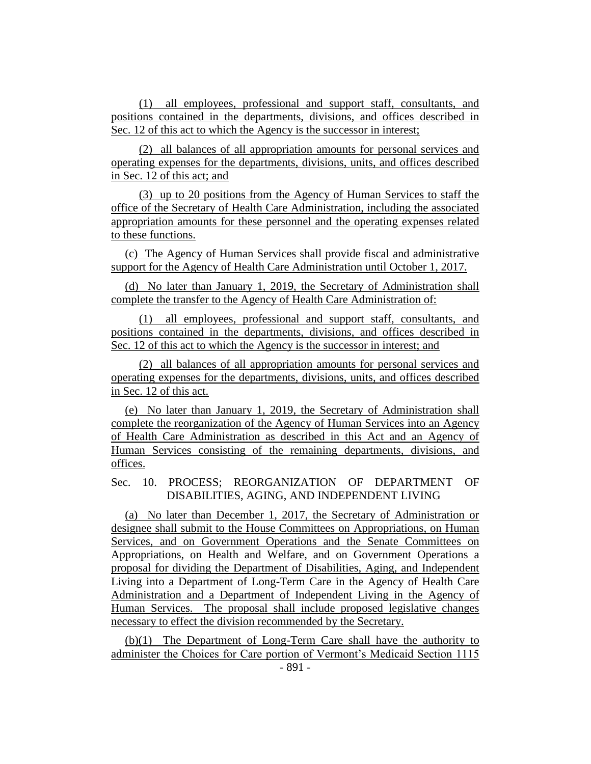(1) all employees, professional and support staff, consultants, and positions contained in the departments, divisions, and offices described in Sec. 12 of this act to which the Agency is the successor in interest;

(2) all balances of all appropriation amounts for personal services and operating expenses for the departments, divisions, units, and offices described in Sec. 12 of this act; and

(3) up to 20 positions from the Agency of Human Services to staff the office of the Secretary of Health Care Administration, including the associated appropriation amounts for these personnel and the operating expenses related to these functions.

(c) The Agency of Human Services shall provide fiscal and administrative support for the Agency of Health Care Administration until October 1, 2017.

(d) No later than January 1, 2019, the Secretary of Administration shall complete the transfer to the Agency of Health Care Administration of:

(1) all employees, professional and support staff, consultants, and positions contained in the departments, divisions, and offices described in Sec. 12 of this act to which the Agency is the successor in interest; and

(2) all balances of all appropriation amounts for personal services and operating expenses for the departments, divisions, units, and offices described in Sec. 12 of this act.

(e) No later than January 1, 2019, the Secretary of Administration shall complete the reorganization of the Agency of Human Services into an Agency of Health Care Administration as described in this Act and an Agency of Human Services consisting of the remaining departments, divisions, and offices.

Sec. 10. PROCESS; REORGANIZATION OF DEPARTMENT OF DISABILITIES, AGING, AND INDEPENDENT LIVING

(a) No later than December 1, 2017, the Secretary of Administration or designee shall submit to the House Committees on Appropriations, on Human Services, and on Government Operations and the Senate Committees on Appropriations, on Health and Welfare, and on Government Operations a proposal for dividing the Department of Disabilities, Aging, and Independent Living into a Department of Long-Term Care in the Agency of Health Care Administration and a Department of Independent Living in the Agency of Human Services. The proposal shall include proposed legislative changes necessary to effect the division recommended by the Secretary.

(b)(1) The Department of Long-Term Care shall have the authority to administer the Choices for Care portion of Vermont's Medicaid Section 1115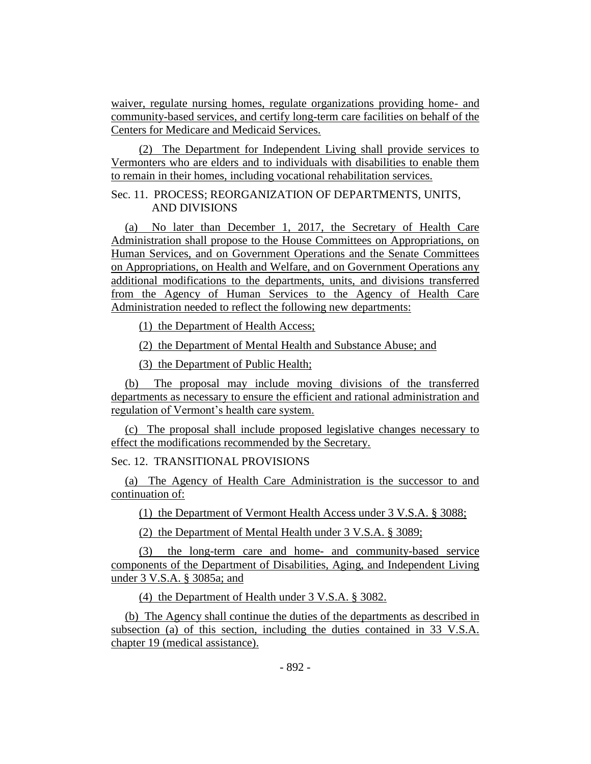waiver, regulate nursing homes, regulate organizations providing home- and community-based services, and certify long-term care facilities on behalf of the Centers for Medicare and Medicaid Services.

(2) The Department for Independent Living shall provide services to Vermonters who are elders and to individuals with disabilities to enable them to remain in their homes, including vocational rehabilitation services.

## Sec. 11. PROCESS; REORGANIZATION OF DEPARTMENTS, UNITS, AND DIVISIONS

(a) No later than December 1, 2017, the Secretary of Health Care Administration shall propose to the House Committees on Appropriations, on Human Services, and on Government Operations and the Senate Committees on Appropriations, on Health and Welfare, and on Government Operations any additional modifications to the departments, units, and divisions transferred from the Agency of Human Services to the Agency of Health Care Administration needed to reflect the following new departments:

(1) the Department of Health Access;

(2) the Department of Mental Health and Substance Abuse; and

(3) the Department of Public Health;

(b) The proposal may include moving divisions of the transferred departments as necessary to ensure the efficient and rational administration and regulation of Vermont's health care system.

(c) The proposal shall include proposed legislative changes necessary to effect the modifications recommended by the Secretary.

Sec. 12. TRANSITIONAL PROVISIONS

(a) The Agency of Health Care Administration is the successor to and continuation of:

(1) the Department of Vermont Health Access under 3 V.S.A. § 3088;

(2) the Department of Mental Health under 3 V.S.A. § 3089;

(3) the long-term care and home- and community-based service components of the Department of Disabilities, Aging, and Independent Living under 3 V.S.A. § 3085a; and

(4) the Department of Health under 3 V.S.A. § 3082.

(b) The Agency shall continue the duties of the departments as described in subsection (a) of this section, including the duties contained in 33 V.S.A. chapter 19 (medical assistance).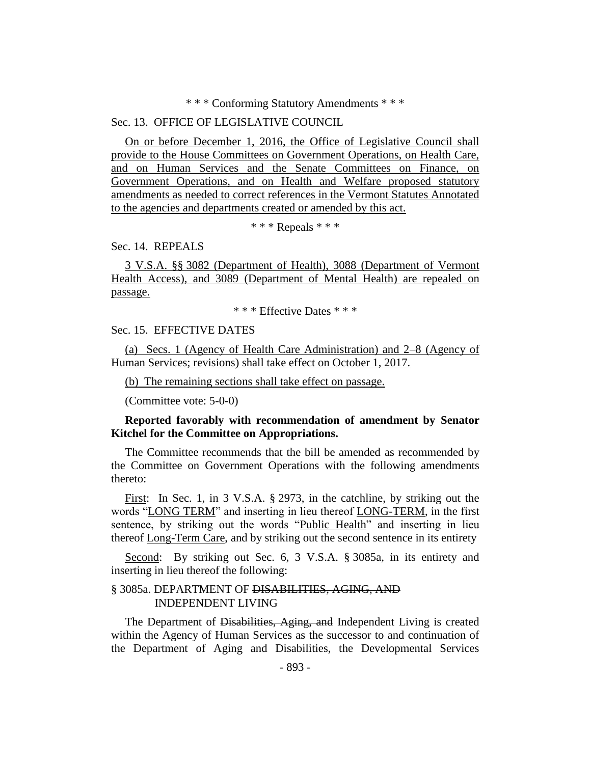#### \* \* \* Conforming Statutory Amendments \* \* \*

## Sec. 13. OFFICE OF LEGISLATIVE COUNCIL

On or before December 1, 2016, the Office of Legislative Council shall provide to the House Committees on Government Operations, on Health Care, and on Human Services and the Senate Committees on Finance, on Government Operations, and on Health and Welfare proposed statutory amendments as needed to correct references in the Vermont Statutes Annotated to the agencies and departments created or amended by this act.

\* \* \* Repeals \* \* \*

Sec. 14. REPEALS

3 V.S.A. §§ 3082 (Department of Health), 3088 (Department of Vermont Health Access), and 3089 (Department of Mental Health) are repealed on passage.

\* \* \* Effective Dates \* \* \*

## Sec. 15. EFFECTIVE DATES

(a) Secs. 1 (Agency of Health Care Administration) and 2–8 (Agency of Human Services; revisions) shall take effect on October 1, 2017.

(b) The remaining sections shall take effect on passage.

(Committee vote: 5-0-0)

## **Reported favorably with recommendation of amendment by Senator Kitchel for the Committee on Appropriations.**

The Committee recommends that the bill be amended as recommended by the Committee on Government Operations with the following amendments thereto:

First: In Sec. 1, in 3 V.S.A. § 2973, in the catchline, by striking out the words "LONG TERM" and inserting in lieu thereof LONG-TERM, in the first sentence, by striking out the words "Public Health" and inserting in lieu thereof Long-Term Care, and by striking out the second sentence in its entirety

Second: By striking out Sec. 6, 3 V.S.A. § 3085a, in its entirety and inserting in lieu thereof the following:

#### § 3085a. DEPARTMENT OF DISABILITIES, AGING, AND INDEPENDENT LIVING

The Department of Disabilities, Aging, and Independent Living is created within the Agency of Human Services as the successor to and continuation of the Department of Aging and Disabilities, the Developmental Services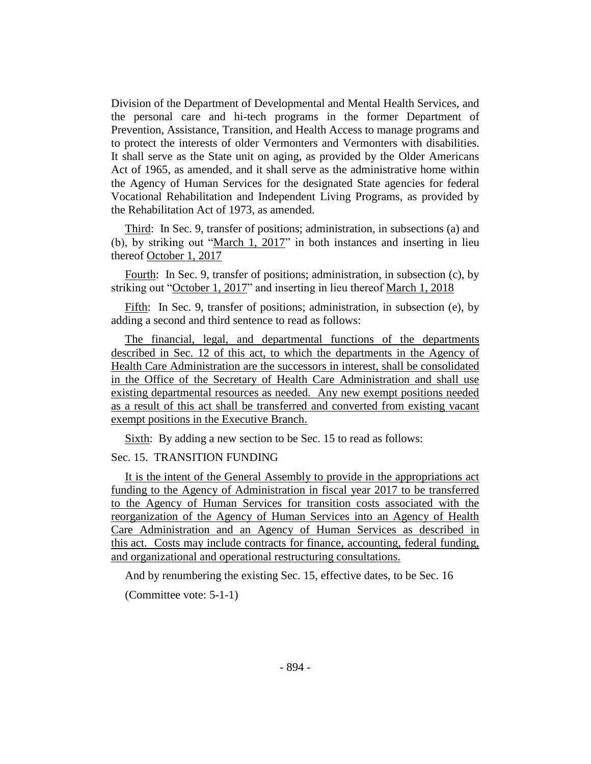Division of the Department of Developmental and Mental Health Services, and the personal care and hi-tech programs in the former Department of Prevention, Assistance, Transition, and Health Access to manage programs and to protect the interests of older Vermonters and Vermonters with disabilities. It shall serve as the State unit on aging, as provided by the Older Americans Act of 1965, as amended, and it shall serve as the administrative home within the Agency of Human Services for the designated State agencies for federal Vocational Rehabilitation and Independent Living Programs, as provided by the Rehabilitation Act of 1973, as amended.

Third: In Sec. 9, transfer of positions; administration, in subsections (a) and (b), by striking out "March 1, 2017" in both instances and inserting in lieu thereof October 1, 2017

Fourth: In Sec. 9, transfer of positions; administration, in subsection (c), by striking out "October 1, 2017" and inserting in lieu thereof March 1, 2018

Fifth: In Sec. 9, transfer of positions; administration, in subsection (e), by adding a second and third sentence to read as follows:

The financial, legal, and departmental functions of the departments described in Sec. 12 of this act, to which the departments in the Agency of Health Care Administration are the successors in interest, shall be consolidated in the Office of the Secretary of Health Care Administration and shall use existing departmental resources as needed. Any new exempt positions needed as a result of this act shall be transferred and converted from existing vacant exempt positions in the Executive Branch.

Sixth: By adding a new section to be Sec. 15 to read as follows:

## Sec. 15. TRANSITION FUNDING

It is the intent of the General Assembly to provide in the appropriations act funding to the Agency of Administration in fiscal year 2017 to be transferred to the Agency of Human Services for transition costs associated with the reorganization of the Agency of Human Services into an Agency of Health Care Administration and an Agency of Human Services as described in this act. Costs may include contracts for finance, accounting, federal funding, and organizational and operational restructuring consultations.

And by renumbering the existing Sec. 15, effective dates, to be Sec. 16

(Committee vote: 5-1-1)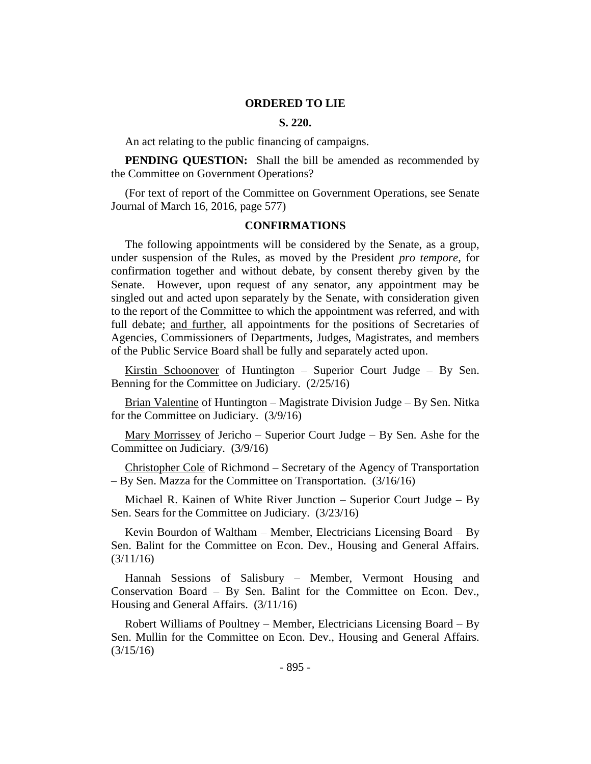#### **ORDERED TO LIE**

#### **S. 220.**

An act relating to the public financing of campaigns.

**PENDING QUESTION:** Shall the bill be amended as recommended by the Committee on Government Operations?

(For text of report of the Committee on Government Operations, see Senate Journal of March 16, 2016, page 577)

#### **CONFIRMATIONS**

The following appointments will be considered by the Senate, as a group, under suspension of the Rules, as moved by the President *pro tempore,* for confirmation together and without debate, by consent thereby given by the Senate. However, upon request of any senator, any appointment may be singled out and acted upon separately by the Senate, with consideration given to the report of the Committee to which the appointment was referred, and with full debate; and further, all appointments for the positions of Secretaries of Agencies, Commissioners of Departments, Judges, Magistrates, and members of the Public Service Board shall be fully and separately acted upon.

Kirstin Schoonover of Huntington – Superior Court Judge – By Sen. Benning for the Committee on Judiciary. (2/25/16)

Brian Valentine of Huntington – Magistrate Division Judge – By Sen. Nitka for the Committee on Judiciary. (3/9/16)

Mary Morrissey of Jericho – Superior Court Judge – By Sen. Ashe for the Committee on Judiciary. (3/9/16)

Christopher Cole of Richmond – Secretary of the Agency of Transportation – By Sen. Mazza for the Committee on Transportation. (3/16/16)

Michael R. Kainen of White River Junction – Superior Court Judge – By Sen. Sears for the Committee on Judiciary. (3/23/16)

Kevin Bourdon of Waltham – Member, Electricians Licensing Board – By Sen. Balint for the Committee on Econ. Dev., Housing and General Affairs. (3/11/16)

Hannah Sessions of Salisbury – Member, Vermont Housing and Conservation Board – By Sen. Balint for the Committee on Econ. Dev., Housing and General Affairs. (3/11/16)

Robert Williams of Poultney – Member, Electricians Licensing Board – By Sen. Mullin for the Committee on Econ. Dev., Housing and General Affairs.  $(3/15/16)$